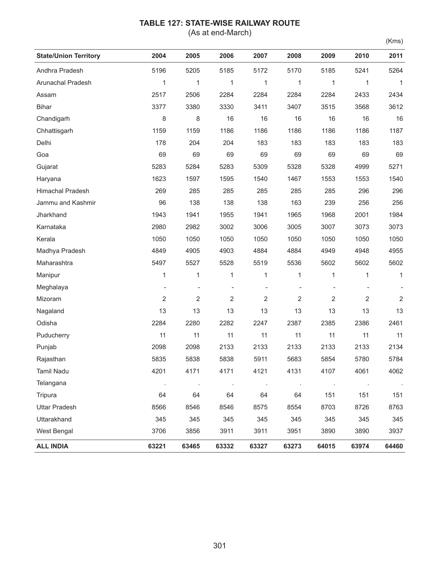## **TABLE 127: STATE-WISE RAILWAY ROUTE**

(As at end-March)

|--|

| <b>State/Union Territory</b> | 2004    | 2005    | 2006           | 2007           | 2008           | 2009    | 2010   | 2011           |
|------------------------------|---------|---------|----------------|----------------|----------------|---------|--------|----------------|
| Andhra Pradesh               | 5196    | 5205    | 5185           | 5172           | 5170           | 5185    | 5241   | 5264           |
| Arunachal Pradesh            | 1       | 1       | 1              | 1              | 1              | 1       | 1      | 1              |
| Assam                        | 2517    | 2506    | 2284           | 2284           | 2284           | 2284    | 2433   | 2434           |
| <b>Bihar</b>                 | 3377    | 3380    | 3330           | 3411           | 3407           | 3515    | 3568   | 3612           |
| Chandigarh                   | 8       | 8       | 16             | 16             | 16             | 16      | 16     | 16             |
| Chhattisgarh                 | 1159    | 1159    | 1186           | 1186           | 1186           | 1186    | 1186   | 1187           |
| Delhi                        | 178     | 204     | 204            | 183            | 183            | 183     | 183    | 183            |
| Goa                          | 69      | 69      | 69             | 69             | 69             | 69      | 69     | 69             |
| Gujarat                      | 5283    | 5284    | 5283           | 5309           | 5328           | 5328    | 4999   | 5271           |
| Haryana                      | 1623    | 1597    | 1595           | 1540           | 1467           | 1553    | 1553   | 1540           |
| Himachal Pradesh             | 269     | 285     | 285            | 285            | 285            | 285     | 296    | 296            |
| Jammu and Kashmir            | 96      | 138     | 138            | 138            | 163            | 239     | 256    | 256            |
| Jharkhand                    | 1943    | 1941    | 1955           | 1941           | 1965           | 1968    | 2001   | 1984           |
| Karnataka                    | 2980    | 2982    | 3002           | 3006           | 3005           | 3007    | 3073   | 3073           |
| Kerala                       | 1050    | 1050    | 1050           | 1050           | 1050           | 1050    | 1050   | 1050           |
| Madhya Pradesh               | 4849    | 4905    | 4903           | 4884           | 4884           | 4949    | 4948   | 4955           |
| Maharashtra                  | 5497    | 5527    | 5528           | 5519           | 5536           | 5602    | 5602   | 5602           |
| Manipur                      | 1       | 1       | 1              | 1              | 1              | 1       | 1      | $\mathbf{1}$   |
| Meghalaya                    |         |         |                |                |                |         |        |                |
| Mizoram                      | 2       | 2       | $\overline{2}$ | $\overline{2}$ | $\overline{2}$ | 2       | 2      | $\overline{2}$ |
| Nagaland                     | 13      | 13      | 13             | 13             | 13             | 13      | 13     | 13             |
| Odisha                       | 2284    | 2280    | 2282           | 2247           | 2387           | 2385    | 2386   | 2461           |
| Puducherry                   | 11      | 11      | 11             | 11             | 11             | 11      | 11     | 11             |
| Punjab                       | 2098    | 2098    | 2133           | 2133           | 2133           | 2133    | 2133   | 2134           |
| Rajasthan                    | 5835    | 5838    | 5838           | 5911           | 5683           | 5854    | 5780   | 5784           |
| Tamil Nadu                   | 4201    | 4171    | 4171           | 4121           | 4131           | 4107    | 4061   | 4062           |
| Telangana                    | $\cdot$ | $\cdot$ | $\blacksquare$ | $\blacksquare$ | $\cdot$        | $\cdot$ | $\sim$ |                |
| Tripura                      | 64      | 64      | 64             | 64             | 64             | 151     | 151    | 151            |
| <b>Uttar Pradesh</b>         | 8566    | 8546    | 8546           | 8575           | 8554           | 8703    | 8726   | 8763           |
| Uttarakhand                  | 345     | 345     | 345            | 345            | 345            | 345     | 345    | 345            |
| West Bengal                  | 3706    | 3856    | 3911           | 3911           | 3951           | 3890    | 3890   | 3937           |
| <b>ALL INDIA</b>             | 63221   | 63465   | 63332          | 63327          | 63273          | 64015   | 63974  | 64460          |